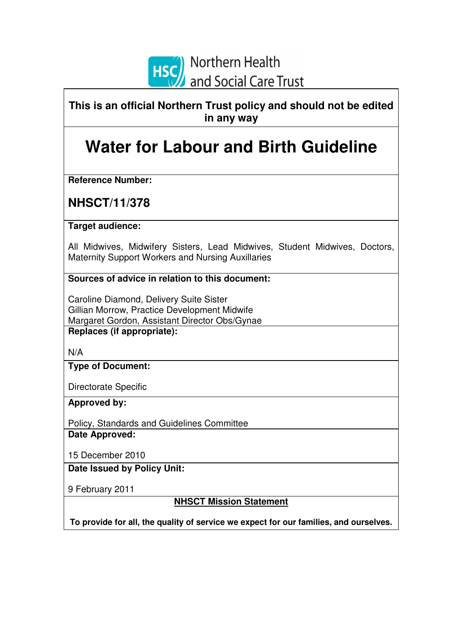

**This is an official Northern Trust policy and should not be edited in any way**

# **Water for Labour and Birth Guideline**

**Reference Number:** 

**NHSCT/11/378** 

**Target audience:** 

All Midwives, Midwifery Sisters, Lead Midwives, Student Midwives, Doctors, Maternity Support Workers and Nursing Auxillaries

**Sources of advice in relation to this document:** 

Caroline Diamond, Delivery Suite Sister Gillian Morrow, Practice Development Midwife Margaret Gordon, Assistant Director Obs/Gynae **Replaces (if appropriate):** 

N/A

**Type of Document:** 

Directorate Specific

**Approved by:** 

Policy, Standards and Guidelines Committee **Date Approved:** 

15 December 2010

**Date Issued by Policy Unit:** 

9 February 2011

**NHSCT Mission Statement**

**To provide for all, the quality of service we expect for our families, and ourselves.**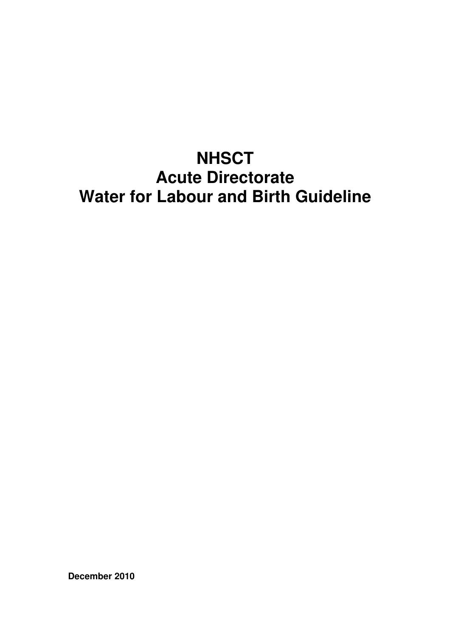# **NHSCT Acute Directorate Water for Labour and Birth Guideline**

**December 2010**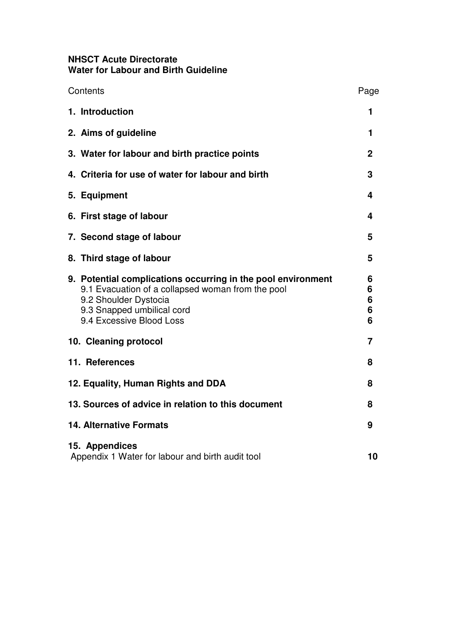### **NHSCT Acute Directorate Water for Labour and Birth Guideline**

|                       | Contents                                                                                                                                                                                             | Page                  |
|-----------------------|------------------------------------------------------------------------------------------------------------------------------------------------------------------------------------------------------|-----------------------|
|                       | 1. Introduction                                                                                                                                                                                      | 1                     |
|                       | 2. Aims of guideline                                                                                                                                                                                 | 1                     |
|                       | 3. Water for labour and birth practice points                                                                                                                                                        | $\mathbf 2$           |
|                       | 4. Criteria for use of water for labour and birth                                                                                                                                                    | 3                     |
|                       | 5. Equipment                                                                                                                                                                                         | 4                     |
|                       | 6. First stage of labour                                                                                                                                                                             | 4                     |
|                       | 7. Second stage of labour                                                                                                                                                                            | 5                     |
|                       | 8. Third stage of labour                                                                                                                                                                             | 5                     |
|                       | 9. Potential complications occurring in the pool environment<br>9.1 Evacuation of a collapsed woman from the pool<br>9.2 Shoulder Dystocia<br>9.3 Snapped umbilical cord<br>9.4 Excessive Blood Loss | 6<br>6<br>6<br>6<br>6 |
| 10. Cleaning protocol |                                                                                                                                                                                                      | 7                     |
|                       | 11. References                                                                                                                                                                                       | 8                     |
|                       | 12. Equality, Human Rights and DDA                                                                                                                                                                   | 8                     |
|                       | 13. Sources of advice in relation to this document                                                                                                                                                   | 8                     |
|                       | <b>14. Alternative Formats</b>                                                                                                                                                                       | 9                     |
|                       | 15. Appendices<br>Appendix 1 Water for labour and birth audit tool                                                                                                                                   | 10                    |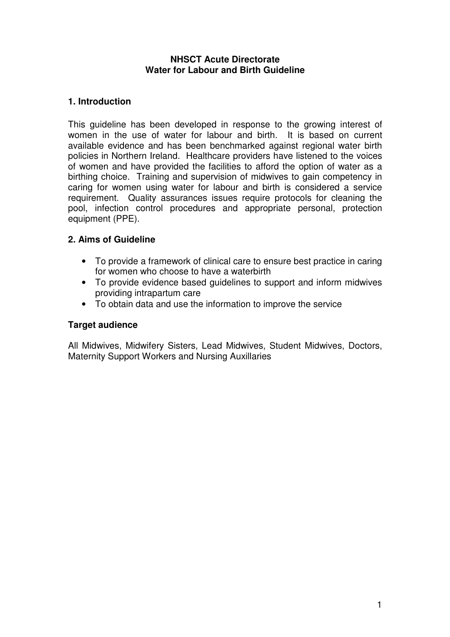### **NHSCT Acute Directorate Water for Labour and Birth Guideline**

### **1. Introduction**

This guideline has been developed in response to the growing interest of women in the use of water for labour and birth. It is based on current available evidence and has been benchmarked against regional water birth policies in Northern Ireland. Healthcare providers have listened to the voices of women and have provided the facilities to afford the option of water as a birthing choice. Training and supervision of midwives to gain competency in caring for women using water for labour and birth is considered a service requirement. Quality assurances issues require protocols for cleaning the pool, infection control procedures and appropriate personal, protection equipment (PPE).

### **2. Aims of Guideline**

- To provide a framework of clinical care to ensure best practice in caring for women who choose to have a waterbirth
- To provide evidence based guidelines to support and inform midwives providing intrapartum care
- To obtain data and use the information to improve the service

### **Target audience**

All Midwives, Midwifery Sisters, Lead Midwives, Student Midwives, Doctors, Maternity Support Workers and Nursing Auxillaries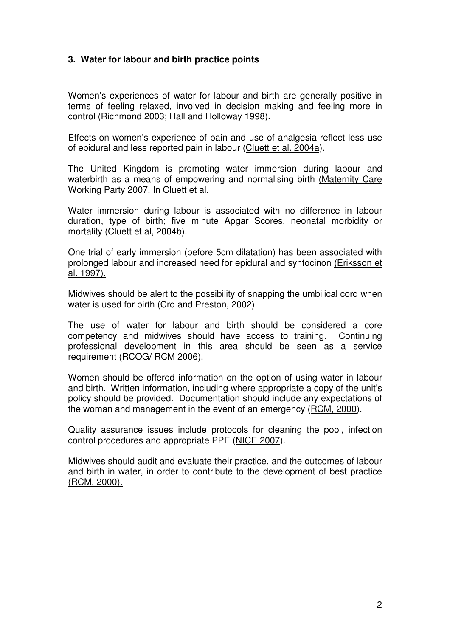### **3. Water for labour and birth practice points**

Women's experiences of water for labour and birth are generally positive in terms of feeling relaxed, involved in decision making and feeling more in control (Richmond 2003; Hall and Holloway 1998).

Effects on women's experience of pain and use of analgesia reflect less use of epidural and less reported pain in labour (Cluett et al. 2004a).

The United Kingdom is promoting water immersion during labour and waterbirth as a means of empowering and normalising birth (Maternity Care Working Party 2007. In Cluett et al.

Water immersion during labour is associated with no difference in labour duration, type of birth; five minute Apgar Scores, neonatal morbidity or mortality (Cluett et al, 2004b).

One trial of early immersion (before 5cm dilatation) has been associated with prolonged labour and increased need for epidural and syntocinon (Eriksson et al. 1997).

Midwives should be alert to the possibility of snapping the umbilical cord when water is used for birth (Cro and Preston, 2002)

The use of water for labour and birth should be considered a core competency and midwives should have access to training. Continuing professional development in this area should be seen as a service requirement (RCOG/ RCM 2006).

Women should be offered information on the option of using water in labour and birth. Written information, including where appropriate a copy of the unit's policy should be provided. Documentation should include any expectations of the woman and management in the event of an emergency (RCM, 2000).

Quality assurance issues include protocols for cleaning the pool, infection control procedures and appropriate PPE (NICE 2007).

Midwives should audit and evaluate their practice, and the outcomes of labour and birth in water, in order to contribute to the development of best practice (RCM, 2000).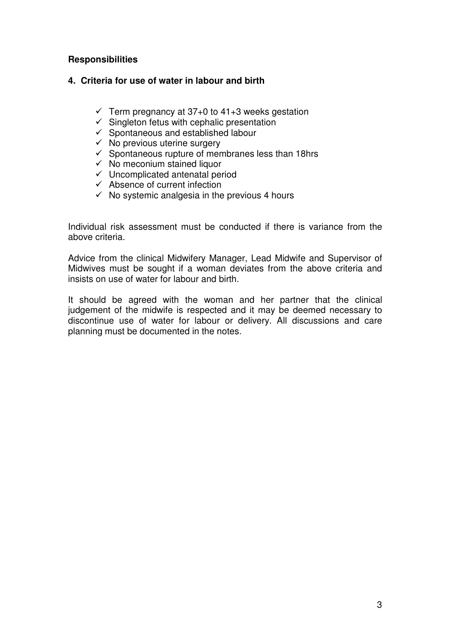### **Responsibilities**

### **4. Criteria for use of water in labour and birth**

- $\checkmark$  Term pregnancy at 37+0 to 41+3 weeks gestation
- $\checkmark$  Singleton fetus with cephalic presentation
- $\checkmark$  Spontaneous and established labour
- $\checkmark$  No previous uterine surgery
- $\checkmark$  Spontaneous rupture of membranes less than 18hrs
- $\checkmark$  No meconium stained liquor
- $\checkmark$  Uncomplicated antenatal period
- $\checkmark$  Absence of current infection
- $\checkmark$  No systemic analgesia in the previous 4 hours

Individual risk assessment must be conducted if there is variance from the above criteria.

Advice from the clinical Midwifery Manager, Lead Midwife and Supervisor of Midwives must be sought if a woman deviates from the above criteria and insists on use of water for labour and birth.

It should be agreed with the woman and her partner that the clinical judgement of the midwife is respected and it may be deemed necessary to discontinue use of water for labour or delivery. All discussions and care planning must be documented in the notes.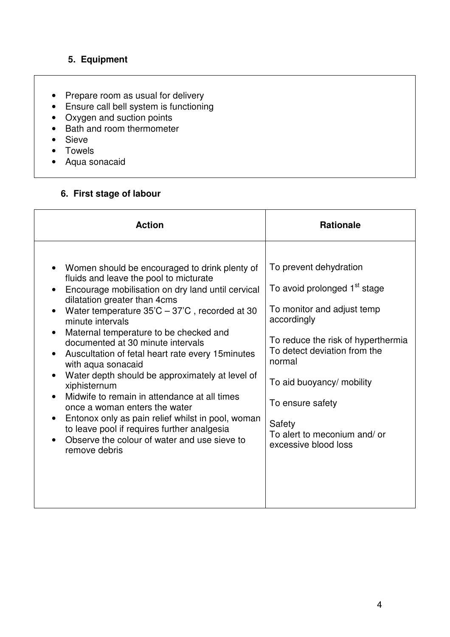## **5. Equipment**

- Prepare room as usual for delivery
- Ensure call bell system is functioning
- Oxygen and suction points
- Bath and room thermometer
- Sieve
- Towels
- Aqua sonacaid

### **6. First stage of labour**

| <b>Action</b>                                                                                                                                                                                                                                                                                                                                                                                                                                                                                                                                                                                                                                                                                                                                                      | <b>Rationale</b>                                                                                                                                                                                                                                                                                                   |
|--------------------------------------------------------------------------------------------------------------------------------------------------------------------------------------------------------------------------------------------------------------------------------------------------------------------------------------------------------------------------------------------------------------------------------------------------------------------------------------------------------------------------------------------------------------------------------------------------------------------------------------------------------------------------------------------------------------------------------------------------------------------|--------------------------------------------------------------------------------------------------------------------------------------------------------------------------------------------------------------------------------------------------------------------------------------------------------------------|
| Women should be encouraged to drink plenty of<br>fluids and leave the pool to micturate<br>Encourage mobilisation on dry land until cervical<br>dilatation greater than 4cms<br>Water temperature $35^{\circ}C - 37^{\circ}C$ , recorded at 30<br>$\bullet$<br>minute intervals<br>Maternal temperature to be checked and<br>documented at 30 minute intervals<br>Auscultation of fetal heart rate every 15 minutes<br>with aqua sonacaid<br>Water depth should be approximately at level of<br>xiphisternum<br>Midwife to remain in attendance at all times<br>once a woman enters the water<br>Entonox only as pain relief whilst in pool, woman<br>to leave pool if requires further analgesia<br>Observe the colour of water and use sieve to<br>remove debris | To prevent dehydration<br>To avoid prolonged 1 <sup>st</sup> stage<br>To monitor and adjust temp<br>accordingly<br>To reduce the risk of hyperthermia<br>To detect deviation from the<br>normal<br>To aid buoyancy/ mobility<br>To ensure safety<br>Safety<br>To alert to meconium and/ or<br>excessive blood loss |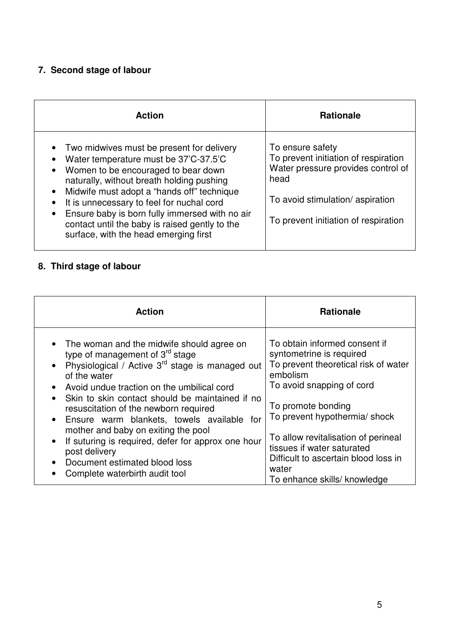## **7. Second stage of labour**

| <b>Action</b>                                                                                                                                                                                                                                                                                                                                                                                                                                         | <b>Rationale</b>                                                                                                                                                                  |
|-------------------------------------------------------------------------------------------------------------------------------------------------------------------------------------------------------------------------------------------------------------------------------------------------------------------------------------------------------------------------------------------------------------------------------------------------------|-----------------------------------------------------------------------------------------------------------------------------------------------------------------------------------|
| Two midwives must be present for delivery<br>Water temperature must be 37'C-37.5'C<br>Women to be encouraged to bear down<br>$\bullet$<br>naturally, without breath holding pushing<br>Midwife must adopt a "hands off" technique<br>$\bullet$<br>It is unnecessary to feel for nuchal cord<br>Ensure baby is born fully immersed with no air<br>$\bullet$<br>contact until the baby is raised gently to the<br>surface, with the head emerging first | To ensure safety<br>To prevent initiation of respiration<br>Water pressure provides control of<br>head<br>To avoid stimulation/aspiration<br>To prevent initiation of respiration |

# **8. Third stage of labour**

| <b>Action</b>                                                                                                                                                                                                                                                                                                                                                                                                                                                                                                                                                                        | <b>Rationale</b>                                                                                                                                                                                                                                                                                                                                        |
|--------------------------------------------------------------------------------------------------------------------------------------------------------------------------------------------------------------------------------------------------------------------------------------------------------------------------------------------------------------------------------------------------------------------------------------------------------------------------------------------------------------------------------------------------------------------------------------|---------------------------------------------------------------------------------------------------------------------------------------------------------------------------------------------------------------------------------------------------------------------------------------------------------------------------------------------------------|
| • The woman and the midwife should agree on<br>type of management of $3^{rd}$ stage<br>Physiological / Active 3 <sup>rd</sup> stage is managed out<br>$\bullet$<br>of the water<br>Avoid undue traction on the umbilical cord<br>Skin to skin contact should be maintained if no<br>$\bullet$<br>resuscitation of the newborn required<br>• Ensure warm blankets, towels available for<br>mother and baby on exiting the pool<br>If suturing is required, defer for approx one hour<br>$\bullet$<br>post delivery<br>Document estimated blood loss<br>Complete waterbirth audit tool | To obtain informed consent if<br>syntometrine is required<br>To prevent theoretical risk of water<br>embolism<br>To avoid snapping of cord<br>To promote bonding<br>To prevent hypothermia/ shock<br>To allow revitalisation of perineal<br>tissues if water saturated<br>Difficult to ascertain blood loss in<br>water<br>To enhance skills/ knowledge |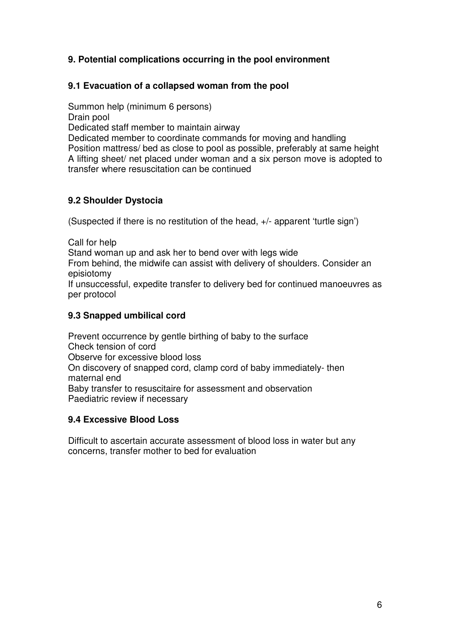### **9. Potential complications occurring in the pool environment**

### **9.1 Evacuation of a collapsed woman from the pool**

Summon help (minimum 6 persons)

Drain pool

Dedicated staff member to maintain airway

Dedicated member to coordinate commands for moving and handling Position mattress/ bed as close to pool as possible, preferably at same height A lifting sheet/ net placed under woman and a six person move is adopted to transfer where resuscitation can be continued

### **9.2 Shoulder Dystocia**

(Suspected if there is no restitution of the head, +/- apparent 'turtle sign')

Call for help

Stand woman up and ask her to bend over with legs wide

From behind, the midwife can assist with delivery of shoulders. Consider an episiotomy

If unsuccessful, expedite transfer to delivery bed for continued manoeuvres as per protocol

### **9.3 Snapped umbilical cord**

Prevent occurrence by gentle birthing of baby to the surface Check tension of cord Observe for excessive blood loss On discovery of snapped cord, clamp cord of baby immediately- then maternal end Baby transfer to resuscitaire for assessment and observation Paediatric review if necessary

### **9.4 Excessive Blood Loss**

Difficult to ascertain accurate assessment of blood loss in water but any concerns, transfer mother to bed for evaluation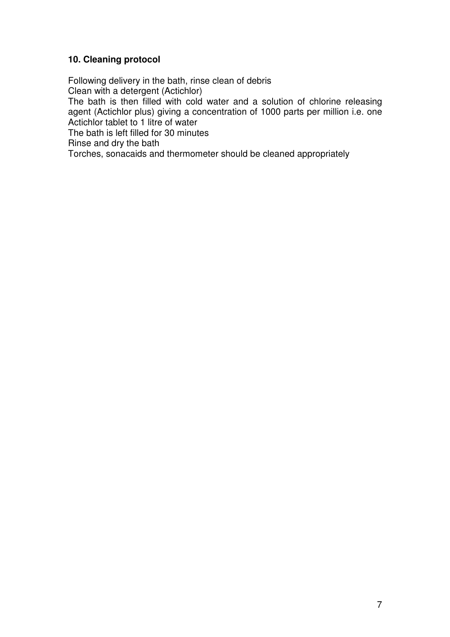### **10. Cleaning protocol**

Following delivery in the bath, rinse clean of debris Clean with a detergent (Actichlor) The bath is then filled with cold water and a solution of chlorine releasing agent (Actichlor plus) giving a concentration of 1000 parts per million i.e. one Actichlor tablet to 1 litre of water The bath is left filled for 30 minutes Rinse and dry the bath

Torches, sonacaids and thermometer should be cleaned appropriately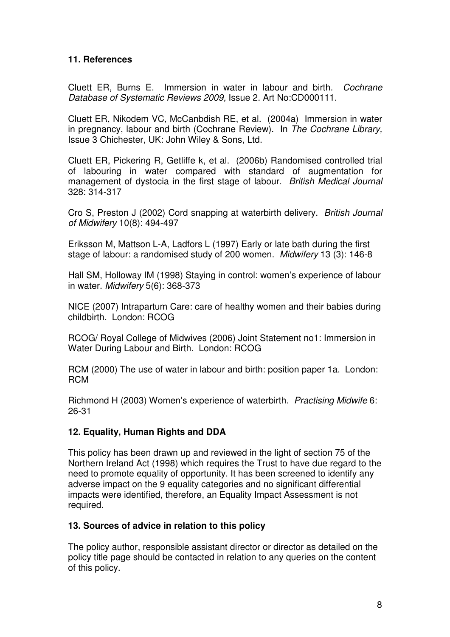### **11. References**

Cluett ER, Burns E. Immersion in water in labour and birth. Cochrane Database of Systematic Reviews 2009, Issue 2. Art No:CD000111.

Cluett ER, Nikodem VC, McCanbdish RE, et al. (2004a) Immersion in water in pregnancy, labour and birth (Cochrane Review). In The Cochrane Library, Issue 3 Chichester, UK: John Wiley & Sons, Ltd.

Cluett ER, Pickering R, Getliffe k, et al. (2006b) Randomised controlled trial of labouring in water compared with standard of augmentation for management of dystocia in the first stage of labour. British Medical Journal 328: 314-317

Cro S, Preston J (2002) Cord snapping at waterbirth delivery. British Journal of Midwifery 10(8): 494-497

Eriksson M, Mattson L-A, Ladfors L (1997) Early or late bath during the first stage of labour: a randomised study of 200 women. Midwifery 13 (3): 146-8

Hall SM, Holloway IM (1998) Staying in control: women's experience of labour in water. Midwifery 5(6): 368-373

NICE (2007) Intrapartum Care: care of healthy women and their babies during childbirth. London: RCOG

RCOG/ Royal College of Midwives (2006) Joint Statement no1: Immersion in Water During Labour and Birth. London: RCOG

RCM (2000) The use of water in labour and birth: position paper 1a. London: RCM

Richmond H (2003) Women's experience of waterbirth. Practising Midwife 6: 26-31

### **12. Equality, Human Rights and DDA**

This policy has been drawn up and reviewed in the light of section 75 of the Northern Ireland Act (1998) which requires the Trust to have due regard to the need to promote equality of opportunity. It has been screened to identify any adverse impact on the 9 equality categories and no significant differential impacts were identified, therefore, an Equality Impact Assessment is not required.

### **13. Sources of advice in relation to this policy**

The policy author, responsible assistant director or director as detailed on the policy title page should be contacted in relation to any queries on the content of this policy.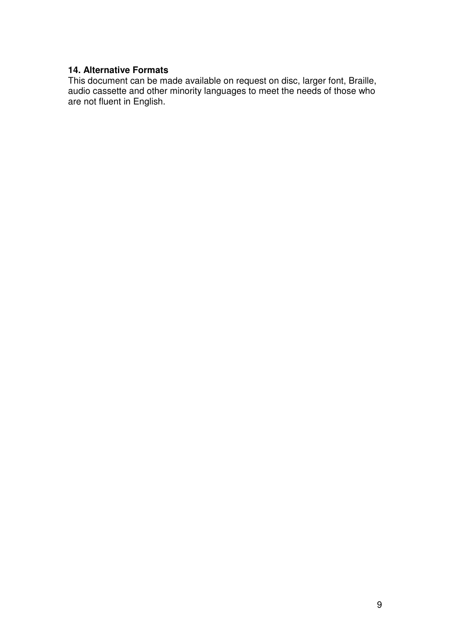### **14. Alternative Formats**

This document can be made available on request on disc, larger font, Braille, audio cassette and other minority languages to meet the needs of those who are not fluent in English.